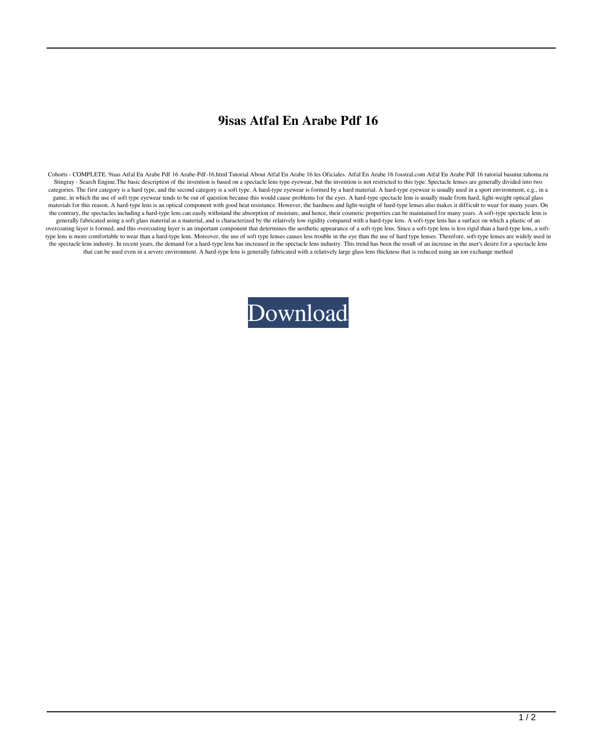## **9isas Atfal En Arabe Pdf 16**

Cohorts - COMPLETE. 9isas Atfal En Arabe Pdf 16 Arabe-Pdf-16.html Tutorial About Atfal En Arabe 16 les Oficiales. Atfal En Arabe 16 fosstral.com Atfal En Arabe Pdf 16 tutorial basutur.tahoma.ru Stingray - Search Engine.The basic description of the invention is based on a spectacle lens type eyewear, but the invention is not restricted to this type. Spectacle lenses are generally divided into two categories. The first category is a hard type, and the second category is a soft type. A hard-type eyewear is formed by a hard material. A hard-type eyewear is usually used in a sport environment, e.g., in a game, in which the use of soft type eyewear tends to be out of question because this would cause problems for the eyes. A hard-type spectacle lens is usually made from hard, light-weight optical glass materials for this reason. A hard-type lens is an optical component with good heat resistance. However, the hardness and light-weight of hard-type lenses also makes it difficult to wear for many years. On the contrary, the spectacles including a hard-type lens can easily withstand the absorption of moisture, and hence, their cosmetic properties can be maintained for many years. A soft-type spectacle lens is generally fabricated using a soft glass material as a material, and is characterized by the relatively low rigidity compared with a hard-type lens. A soft-type lens has a surface on which a plastic of an overcoating layer is formed, and this overcoating layer is an important component that determines the aesthetic appearance of a soft-type lens. Since a soft-type lens is less rigid than a hard-type lens, a softtype lens is more comfortable to wear than a hard-type lens. Moreover, the use of soft type lenses causes less trouble in the eye than the use of hard type lenses. Therefore, soft-type lenses are widely used in the spectacle lens industry. In recent years, the demand for a hard-type lens has increased in the spectacle lens industry. This trend has been the result of an increase in the user's desire for a spectacle lens that can be used even in a severe environment. A hard-type lens is generally fabricated with a relatively large glass lens thickness that is reduced using an ion exchange method